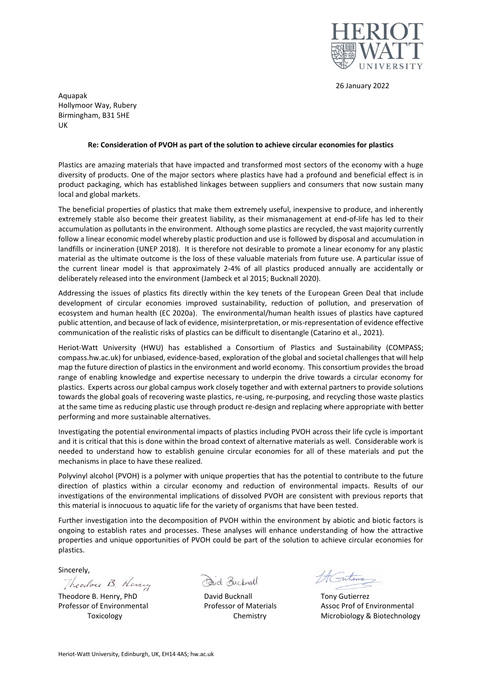

26 January 2022

Aquapak Hollymoor Way, Rubery Birmingham, B31 5HE UK

## **Re: Consideration of PVOH as part of the solution to achieve circular economies for plastics**

Plastics are amazing materials that have impacted and transformed most sectors of the economy with a huge diversity of products. One of the major sectors where plastics have had a profound and beneficial effect is in product packaging, which has established linkages between suppliers and consumers that now sustain many local and global markets.

The beneficial properties of plastics that make them extremely useful, inexpensive to produce, and inherently extremely stable also become their greatest liability, as their mismanagement at end-of-life has led to their accumulation as pollutants in the environment. Although some plastics are recycled, the vast majority currently follow a linear economic model whereby plastic production and use is followed by disposal and accumulation in landfills or incineration (UNEP 2018). It is therefore not desirable to promote a linear economy for any plastic material as the ultimate outcome is the loss of these valuable materials from future use. A particular issue of the current linear model is that approximately 2-4% of all plastics produced annually are accidentally or deliberately released into the environment (Jambeck et al 2015; Bucknall 2020).

Addressing the issues of plastics fits directly within the key tenets of the European Green Deal that include development of circular economies improved sustainability, reduction of pollution, and preservation of ecosystem and human health (EC 2020a). The environmental/human health issues of plastics have captured public attention, and because of lack of evidence, misinterpretation, or mis-representation of evidence effective communication of the realistic risks of plastics can be difficult to disentangle (Catarino et al., 2021).

Heriot-Watt University (HWU) has established a Consortium of Plastics and Sustainability (COMPASS; compass.hw.ac.uk) for unbiased, evidence-based, exploration of the global and societal challenges that will help map the future direction of plastics in the environment and world economy. This consortium provides the broad range of enabling knowledge and expertise necessary to underpin the drive towards a circular economy for plastics. Experts across our global campus work closely together and with external partners to provide solutions towards the global goals of recovering waste plastics, re-using, re-purposing, and recycling those waste plastics at the same time as reducing plastic use through product re-design and replacing where appropriate with better performing and more sustainable alternatives.

Investigating the potential environmental impacts of plastics including PVOH across their life cycle is important and it is critical that this is done within the broad context of alternative materials as well. Considerable work is needed to understand how to establish genuine circular economies for all of these materials and put the mechanisms in place to have these realized.

Polyvinyl alcohol (PVOH) is a polymer with unique properties that has the potential to contribute to the future direction of plastics within a circular economy and reduction of environmental impacts. Results of our investigations of the environmental implications of dissolved PVOH are consistent with previous reports that this material is innocuous to aquatic life for the variety of organisms that have been tested.

Further investigation into the decomposition of PVOH within the environment by abiotic and biotic factors is ongoing to establish rates and processes. These analyses will enhance understanding of how the attractive properties and unique opportunities of PVOH could be part of the solution to achieve circular economies for plastics.

Sincerely,

Theodore B. Henry

Theodore B. Henry, PhD David Bucknall Tony Gutierrez

Forid Bucknall

Professor of Environmental Professor of Materials Assoc Prof of Environmental Toxicology **Toxicology** Chemistry Microbiology & Biotechnology